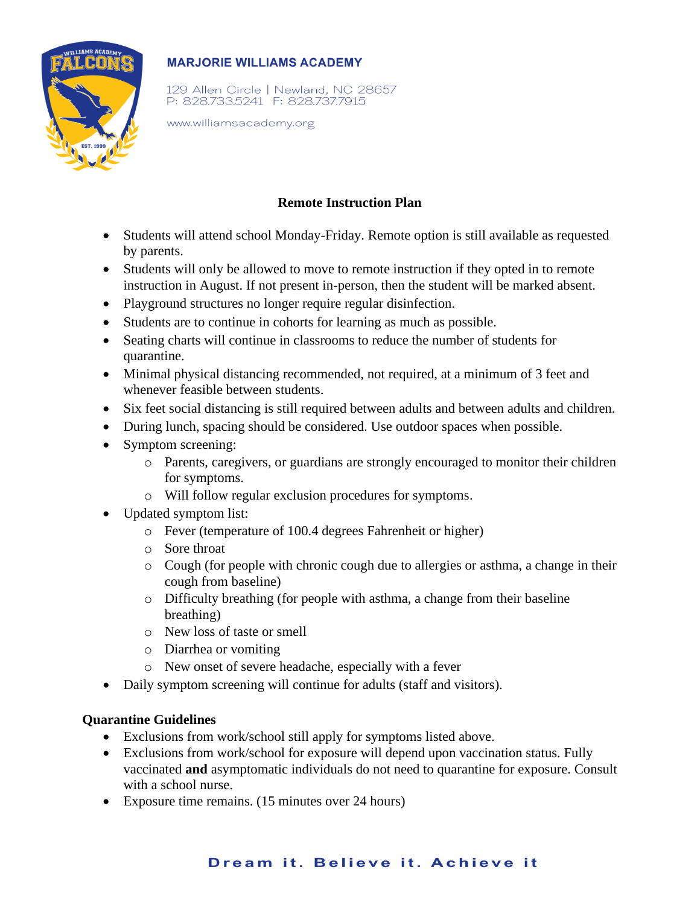

## **MARJORIE WILLIAMS ACADEMY**

129 Allen Circle | Newland, NC 28657 P: 828.733.5241 F: 828.737.7915

www.williamsacademy.org

## **Remote Instruction Plan**

- Students will attend school Monday-Friday. Remote option is still available as requested by parents.
- Students will only be allowed to move to remote instruction if they opted in to remote instruction in August. If not present in-person, then the student will be marked absent.
- Playground structures no longer require regular disinfection.
- Students are to continue in cohorts for learning as much as possible.
- Seating charts will continue in classrooms to reduce the number of students for quarantine.
- Minimal physical distancing recommended, not required, at a minimum of 3 feet and whenever feasible between students.
- Six feet social distancing is still required between adults and between adults and children.
- During lunch, spacing should be considered. Use outdoor spaces when possible.
- Symptom screening:
	- o Parents, caregivers, or guardians are strongly encouraged to monitor their children for symptoms.
	- o Will follow regular exclusion procedures for symptoms.
- Updated symptom list:
	- o Fever (temperature of 100.4 degrees Fahrenheit or higher)
	- o Sore throat
	- o Cough (for people with chronic cough due to allergies or asthma, a change in their cough from baseline)
	- o Difficulty breathing (for people with asthma, a change from their baseline breathing)
	- o New loss of taste or smell
	- o Diarrhea or vomiting
	- o New onset of severe headache, especially with a fever
- Daily symptom screening will continue for adults (staff and visitors).

#### **Quarantine Guidelines**

- Exclusions from work/school still apply for symptoms listed above.
- Exclusions from work/school for exposure will depend upon vaccination status. Fully vaccinated **and** asymptomatic individuals do not need to quarantine for exposure. Consult with a school nurse.
- Exposure time remains. (15 minutes over 24 hours)

# Dream it. Believe it. Achieve it